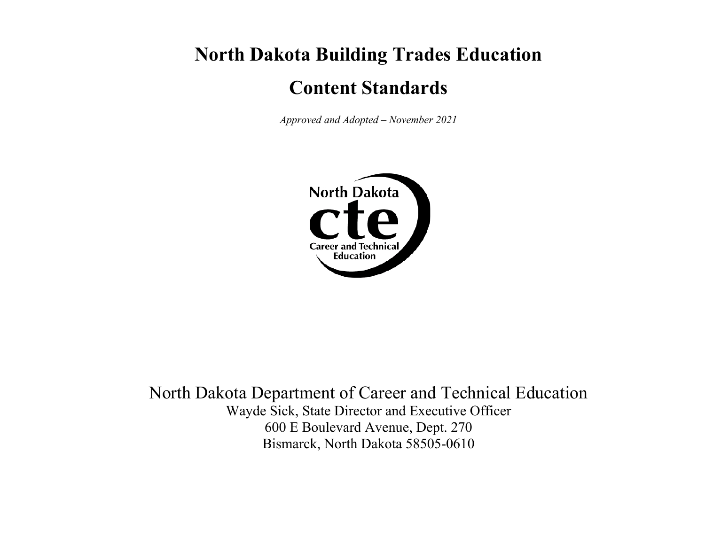# **North Dakota Building Trades Education**

## **Content Standards**

*Approved and Adopted – November 2021*



North Dakota Department of Career and Technical Education Wayde Sick, State Director and Executive Officer 600 E Boulevard Avenue, Dept. 270 Bismarck, North Dakota 58505-0610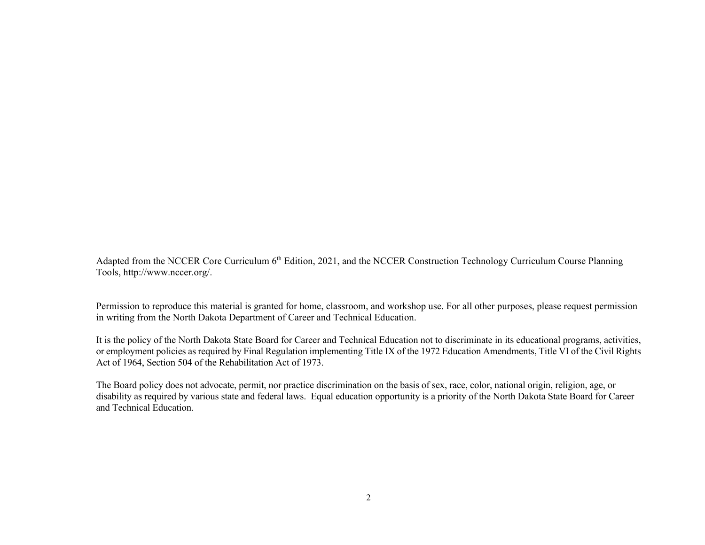Adapted from the NCCER Core Curriculum 6<sup>th</sup> Edition, 2021, and the NCCER Construction Technology Curriculum Course Planning Tools, http://www.nccer.org/.

Permission to reproduce this material is granted for home, classroom, and workshop use. For all other purposes, please request permission in writing from the North Dakota Department of Career and Technical Education.

It is the policy of the North Dakota State Board for Career and Technical Education not to discriminate in its educational programs, activities, or employment policies as required by Final Regulation implementing Title IX of the 1972 Education Amendments, Title VI of the Civil Rights Act of 1964, Section 504 of the Rehabilitation Act of 1973.

The Board policy does not advocate, permit, nor practice discrimination on the basis of sex, race, color, national origin, religion, age, or disability as required by various state and federal laws. Equal education opportunity is a priority of the North Dakota State Board for Career and Technical Education.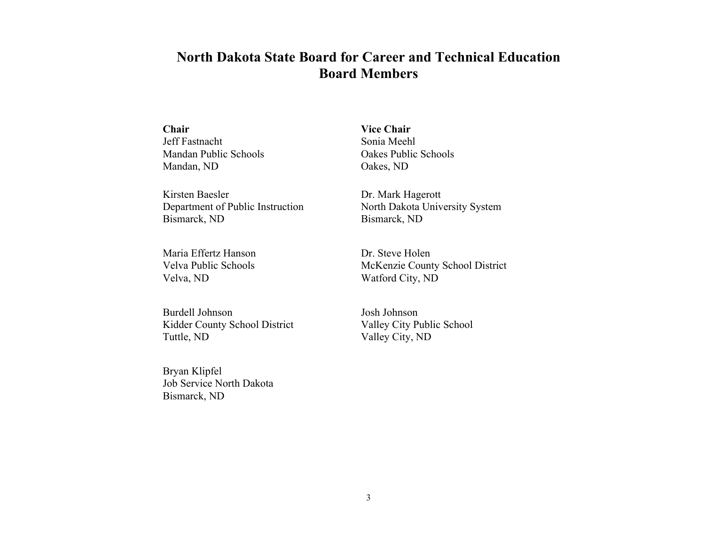## **North Dakota State Board for Career and Technical Education Board Members**

**Chair** Jeff Fastnacht Mandan Public Schools Mandan, ND

Kirsten Baesler Department of Public Instruction Bismarck, ND

Maria Effertz Hanson Velva Public Schools Velva, ND

Burdell Johnson Kidder County School District Tuttle, ND

Bryan Klipfel Job Service North Dakota Bismarck, ND

**Vice Chair** Sonia Meehl Oakes Public Schools Oakes, ND

Dr. Mark Hagerott North Dakota University System Bismarck, ND

Dr. Steve Holen McKenzie County School District Watford City, ND

Josh Johnson Valley City Public School Valley City, ND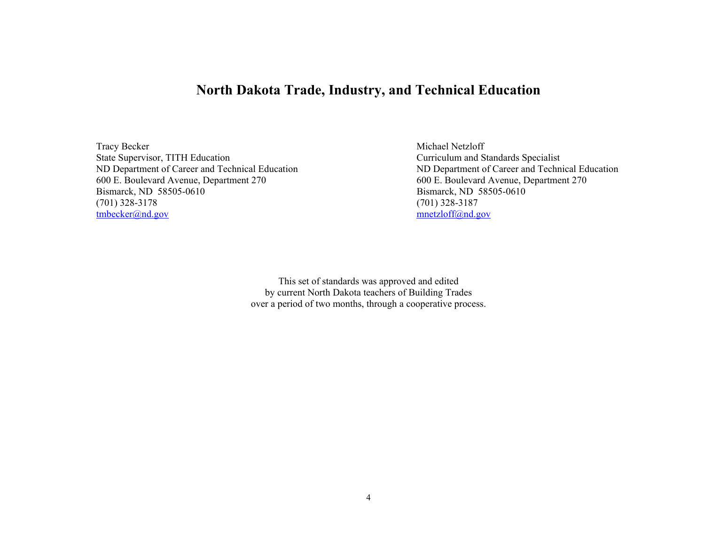### **North Dakota Trade, Industry, and Technical Education**

Tracy Becker Michael Netzloff State Supervisor, TITH Education Curriculum and Standards Specialist 600 E. Boulevard Avenue, Department 270 600 E. Boulevard Avenue, Department 270 Bismarck, ND 58505-0610<br>
(701) 328-3178 (701) 328-3187  $(701)$  328-3178 [tmbecker@nd.gov](mailto:tmbecker@nd.gov) [mnetzloff@nd.gov](mailto:mnetzloff@nd.gov)

ND Department of Career and Technical Education ND Department of Career and Technical Education

This set of standards was approved and edited by current North Dakota teachers of Building Trades over a period of two months, through a cooperative process.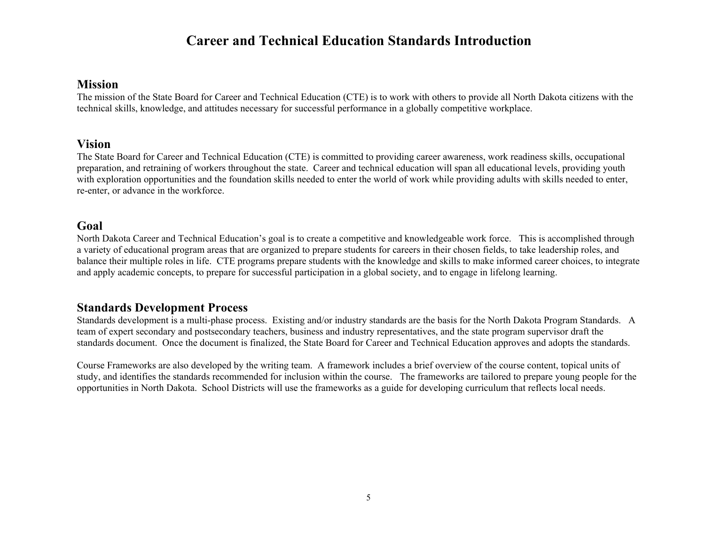## **Career and Technical Education Standards Introduction**

#### **Mission**

The mission of the State Board for Career and Technical Education (CTE) is to work with others to provide all North Dakota citizens with the technical skills, knowledge, and attitudes necessary for successful performance in a globally competitive workplace.

#### **Vision**

The State Board for Career and Technical Education (CTE) is committed to providing career awareness, work readiness skills, occupational preparation, and retraining of workers throughout the state. Career and technical education will span all educational levels, providing youth with exploration opportunities and the foundation skills needed to enter the world of work while providing adults with skills needed to enter, re-enter, or advance in the workforce.

#### **Goal**

North Dakota Career and Technical Education's goal is to create a competitive and knowledgeable work force. This is accomplished through a variety of educational program areas that are organized to prepare students for careers in their chosen fields, to take leadership roles, and balance their multiple roles in life. CTE programs prepare students with the knowledge and skills to make informed career choices, to integrate and apply academic concepts, to prepare for successful participation in a global society, and to engage in lifelong learning.

#### **Standards Development Process**

Standards development is a multi-phase process. Existing and/or industry standards are the basis for the North Dakota Program Standards. A team of expert secondary and postsecondary teachers, business and industry representatives, and the state program supervisor draft the standards document. Once the document is finalized, the State Board for Career and Technical Education approves and adopts the standards.

Course Frameworks are also developed by the writing team. A framework includes a brief overview of the course content, topical units of study, and identifies the standards recommended for inclusion within the course. The frameworks are tailored to prepare young people for the opportunities in North Dakota. School Districts will use the frameworks as a guide for developing curriculum that reflects local needs.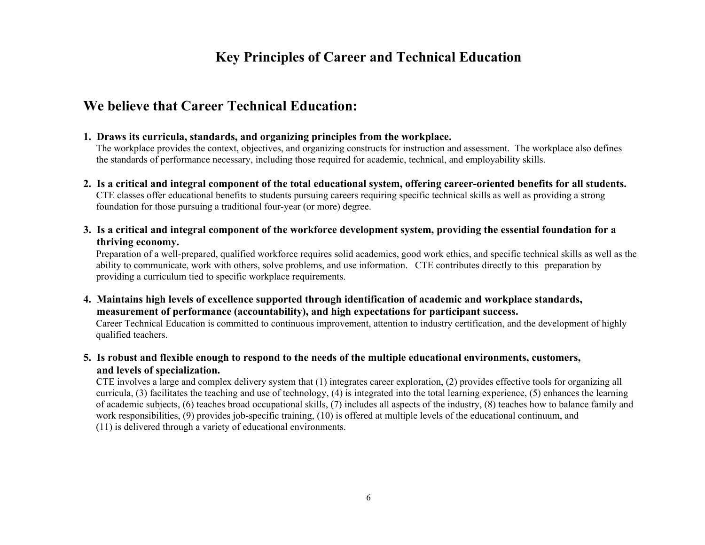## **Key Principles of Career and Technical Education**

## **We believe that Career Technical Education:**

**1. Draws its curricula, standards, and organizing principles from the workplace.**

The workplace provides the context, objectives, and organizing constructs for instruction and assessment. The workplace also defines the standards of performance necessary, including those required for academic, technical, and employability skills.

- **2. Is a critical and integral component of the total educational system, offering career-oriented benefits for all students.** CTE classes offer educational benefits to students pursuing careers requiring specific technical skills as well as providing a strong foundation for those pursuing a traditional four-year (or more) degree.
- **3. Is a critical and integral component of the workforce development system, providing the essential foundation for a thriving economy.**

Preparation of a well-prepared, qualified workforce requires solid academics, good work ethics, and specific technical skills as well as the ability to communicate, work with others, solve problems, and use information. CTE contributes directly to this preparation by providing a curriculum tied to specific workplace requirements.

**4. Maintains high levels of excellence supported through identification of academic and workplace standards, measurement of performance (accountability), and high expectations for participant success.**

Career Technical Education is committed to continuous improvement, attention to industry certification, and the development of highly qualified teachers.

**5. Is robust and flexible enough to respond to the needs of the multiple educational environments, customers, and levels of specialization.**

CTE involves a large and complex delivery system that (1) integrates career exploration, (2) provides effective tools for organizing all curricula, (3) facilitates the teaching and use of technology, (4) is integrated into the total learning experience, (5) enhances the learning of academic subjects, (6) teaches broad occupational skills, (7) includes all aspects of the industry, (8) teaches how to balance family and work responsibilities, (9) provides job-specific training, (10) is offered at multiple levels of the educational continuum, and (11) is delivered through a variety of educational environments.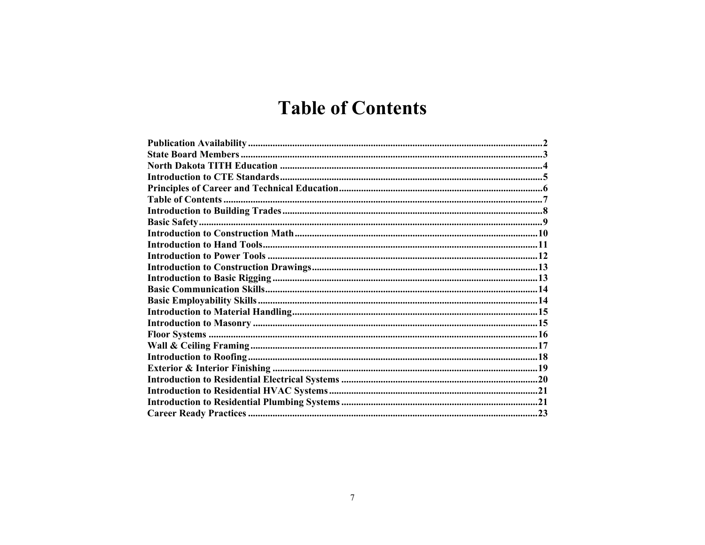## **Table of Contents**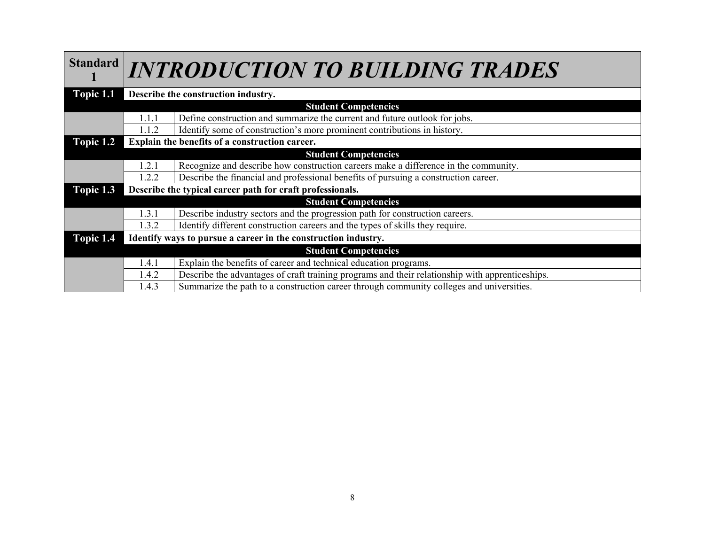| Standard  |                                                           | <b>INTRODUCTION TO BUILDING TRADES</b>                                                          |
|-----------|-----------------------------------------------------------|-------------------------------------------------------------------------------------------------|
| Topic 1.1 |                                                           | Describe the construction industry.                                                             |
|           |                                                           | <b>Student Competencies</b>                                                                     |
|           | 1.1.1                                                     | Define construction and summarize the current and future outlook for jobs.                      |
|           | 1.1.2                                                     | Identify some of construction's more prominent contributions in history.                        |
| Topic 1.2 |                                                           | Explain the benefits of a construction career.                                                  |
|           |                                                           | <b>Student Competencies</b>                                                                     |
|           | 1.2.1                                                     | Recognize and describe how construction careers make a difference in the community.             |
|           | 1.2.2                                                     | Describe the financial and professional benefits of pursuing a construction career.             |
| Topic 1.3 | Describe the typical career path for craft professionals. |                                                                                                 |
|           |                                                           | <b>Student Competencies</b>                                                                     |
|           | 1.3.1                                                     | Describe industry sectors and the progression path for construction careers.                    |
|           | 1.3.2                                                     | Identify different construction careers and the types of skills they require.                   |
| Topic 1.4 |                                                           | Identify ways to pursue a career in the construction industry.                                  |
|           |                                                           | <b>Student Competencies</b>                                                                     |
|           | 1.4.1                                                     | Explain the benefits of career and technical education programs.                                |
|           | 1.4.2                                                     | Describe the advantages of craft training programs and their relationship with apprenticeships. |
|           | 1.4.3                                                     | Summarize the path to a construction career through community colleges and universities.        |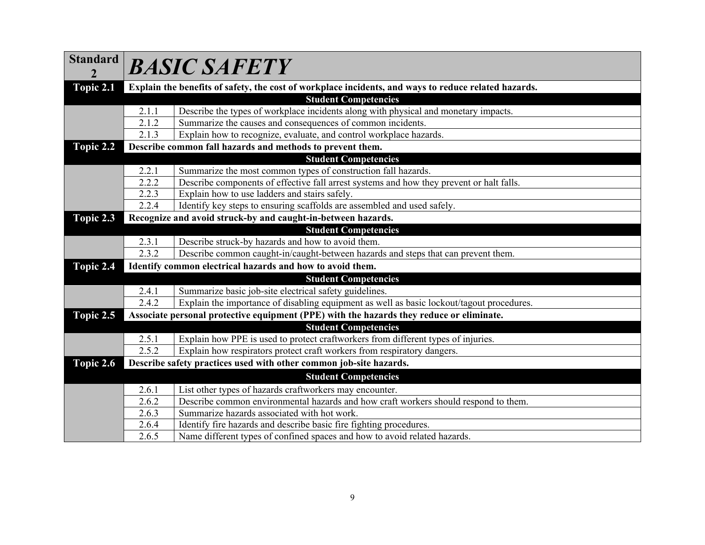| <b>Standard</b><br>$\overline{2}$ |                                                           | <b>BASIC SAFETY</b>                                                                                  |
|-----------------------------------|-----------------------------------------------------------|------------------------------------------------------------------------------------------------------|
| Topic 2.1                         |                                                           | Explain the benefits of safety, the cost of workplace incidents, and ways to reduce related hazards. |
|                                   |                                                           | <b>Student Competencies</b>                                                                          |
|                                   | 2.1.1                                                     | Describe the types of workplace incidents along with physical and monetary impacts.                  |
|                                   | 2.1.2                                                     | Summarize the causes and consequences of common incidents.                                           |
|                                   | 2.1.3                                                     | Explain how to recognize, evaluate, and control workplace hazards.                                   |
| Topic 2.2                         |                                                           | Describe common fall hazards and methods to prevent them.                                            |
|                                   |                                                           | <b>Student Competencies</b>                                                                          |
|                                   | 2.2.1                                                     | Summarize the most common types of construction fall hazards.                                        |
|                                   | 2.2.2                                                     | Describe components of effective fall arrest systems and how they prevent or halt falls.             |
|                                   | 2.2.3                                                     | Explain how to use ladders and stairs safely.                                                        |
|                                   | 2.2.4                                                     | Identify key steps to ensuring scaffolds are assembled and used safely.                              |
| Topic 2.3                         |                                                           | Recognize and avoid struck-by and caught-in-between hazards.                                         |
|                                   |                                                           | <b>Student Competencies</b>                                                                          |
|                                   | 2.3.1                                                     | Describe struck-by hazards and how to avoid them.                                                    |
|                                   | 2.3.2                                                     | Describe common caught-in/caught-between hazards and steps that can prevent them.                    |
| Topic 2.4                         | Identify common electrical hazards and how to avoid them. |                                                                                                      |
|                                   |                                                           | <b>Student Competencies</b>                                                                          |
|                                   | 2.4.1                                                     | Summarize basic job-site electrical safety guidelines.                                               |
|                                   | 2.4.2                                                     | Explain the importance of disabling equipment as well as basic lockout/tagout procedures.            |
| Topic 2.5                         |                                                           | Associate personal protective equipment (PPE) with the hazards they reduce or eliminate.             |
|                                   |                                                           | <b>Student Competencies</b>                                                                          |
|                                   | 2.5.1                                                     | Explain how PPE is used to protect craftworkers from different types of injuries.                    |
|                                   | 2.5.2                                                     | Explain how respirators protect craft workers from respiratory dangers.                              |
| <b>Topic 2.6</b>                  |                                                           | Describe safety practices used with other common job-site hazards.                                   |
|                                   |                                                           | <b>Student Competencies</b>                                                                          |
|                                   | 2.6.1                                                     | List other types of hazards craftworkers may encounter.                                              |
|                                   | 2.6.2                                                     | Describe common environmental hazards and how craft workers should respond to them.                  |
|                                   | 2.6.3                                                     | Summarize hazards associated with hot work.                                                          |
|                                   | 2.6.4                                                     | Identify fire hazards and describe basic fire fighting procedures.                                   |
|                                   | 2.6.5                                                     | Name different types of confined spaces and how to avoid related hazards.                            |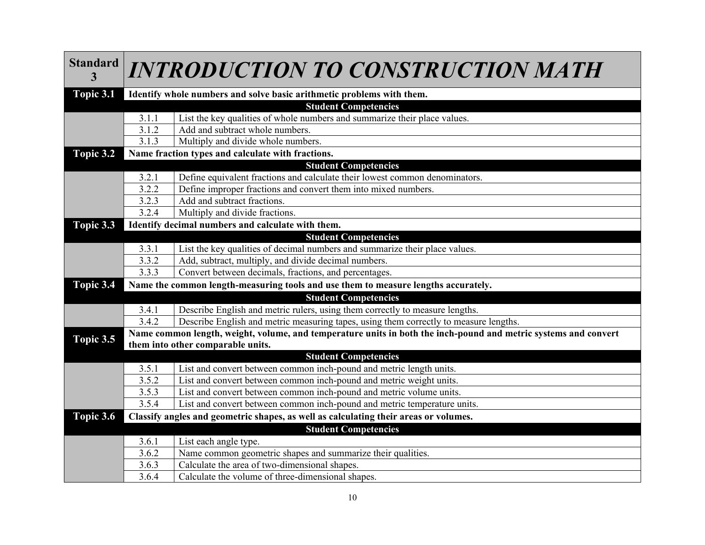| Standard<br>3 |       | INTRODUCTION TO CONSTRUCTION MATH                                                                               |
|---------------|-------|-----------------------------------------------------------------------------------------------------------------|
| Topic 3.1     |       | Identify whole numbers and solve basic arithmetic problems with them.                                           |
|               |       | <b>Student Competencies</b>                                                                                     |
|               | 3.1.1 | List the key qualities of whole numbers and summarize their place values.                                       |
|               | 3.1.2 | Add and subtract whole numbers.                                                                                 |
|               | 3.1.3 | Multiply and divide whole numbers.                                                                              |
| Topic 3.2     |       | Name fraction types and calculate with fractions.<br><b>Student Competencies</b>                                |
|               | 3.2.1 | Define equivalent fractions and calculate their lowest common denominators.                                     |
|               | 3.2.2 | Define improper fractions and convert them into mixed numbers.                                                  |
|               | 3.2.3 | Add and subtract fractions.                                                                                     |
|               | 3.2.4 | Multiply and divide fractions.                                                                                  |
| Topic 3.3     |       | Identify decimal numbers and calculate with them.                                                               |
|               |       | <b>Student Competencies</b>                                                                                     |
|               | 3.3.1 | List the key qualities of decimal numbers and summarize their place values.                                     |
|               | 3.3.2 | Add, subtract, multiply, and divide decimal numbers.                                                            |
|               | 3.3.3 | Convert between decimals, fractions, and percentages.                                                           |
| Topic 3.4     |       | Name the common length-measuring tools and use them to measure lengths accurately.                              |
|               |       | <b>Student Competencies</b>                                                                                     |
|               | 3.4.1 | Describe English and metric rulers, using them correctly to measure lengths.                                    |
|               | 3.4.2 | Describe English and metric measuring tapes, using them correctly to measure lengths.                           |
| Topic 3.5     |       | Name common length, weight, volume, and temperature units in both the inch-pound and metric systems and convert |
|               |       | them into other comparable units.                                                                               |
|               |       | <b>Student Competencies</b>                                                                                     |
|               | 3.5.1 | List and convert between common inch-pound and metric length units.                                             |
|               | 3.5.2 | List and convert between common inch-pound and metric weight units.                                             |
|               | 3.5.3 | List and convert between common inch-pound and metric volume units.                                             |
|               | 3.5.4 | List and convert between common inch-pound and metric temperature units.                                        |
| Topic 3.6     |       | Classify angles and geometric shapes, as well as calculating their areas or volumes.                            |
|               |       | <b>Student Competencies</b>                                                                                     |
|               | 3.6.1 | List each angle type.                                                                                           |
|               | 3.6.2 | Name common geometric shapes and summarize their qualities.                                                     |
|               | 3.6.3 | Calculate the area of two-dimensional shapes.                                                                   |
|               | 3.6.4 | Calculate the volume of three-dimensional shapes.                                                               |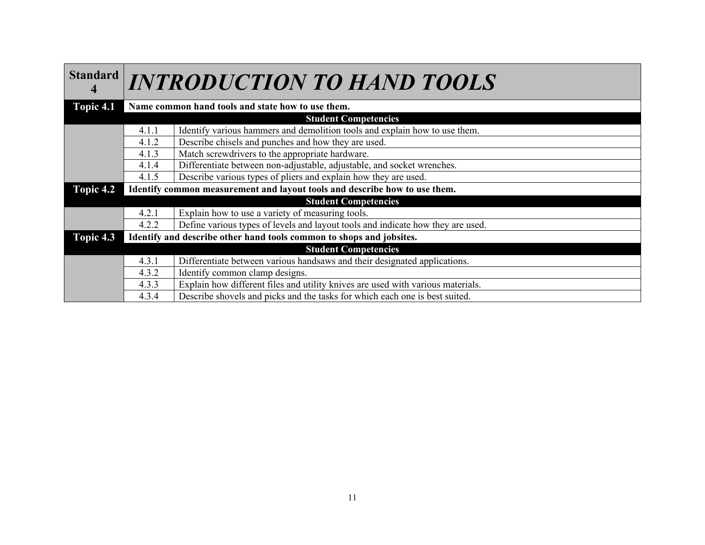| Standard  |       | <b>INTRODUCTION TO HAND TOOLS</b>                                               |
|-----------|-------|---------------------------------------------------------------------------------|
| Topic 4.1 |       | Name common hand tools and state how to use them.                               |
|           |       | <b>Student Competencies</b>                                                     |
|           | 4.1.1 | Identify various hammers and demolition tools and explain how to use them.      |
|           | 4.1.2 | Describe chisels and punches and how they are used.                             |
|           | 4.1.3 | Match screwdrivers to the appropriate hardware.                                 |
|           | 4.1.4 | Differentiate between non-adjustable, adjustable, and socket wrenches.          |
|           | 4.1.5 | Describe various types of pliers and explain how they are used.                 |
| Topic 4.2 |       | Identify common measurement and layout tools and describe how to use them.      |
|           |       | <b>Student Competencies</b>                                                     |
|           | 4.2.1 | Explain how to use a variety of measuring tools.                                |
|           | 4.2.2 | Define various types of levels and layout tools and indicate how they are used. |
| Topic 4.3 |       | Identify and describe other hand tools common to shops and jobsites.            |
|           |       | <b>Student Competencies</b>                                                     |
|           | 4.3.1 | Differentiate between various handsaws and their designated applications.       |
|           | 4.3.2 | Identify common clamp designs.                                                  |
|           | 4.3.3 | Explain how different files and utility knives are used with various materials. |
|           | 4.3.4 | Describe shovels and picks and the tasks for which each one is best suited.     |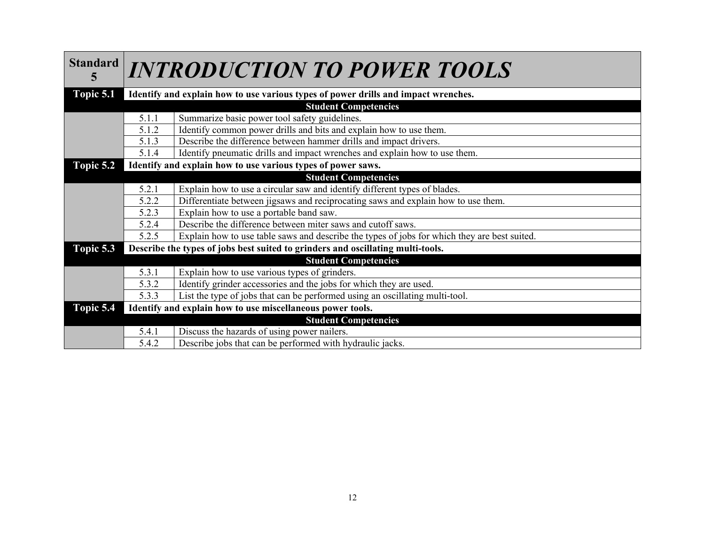| 5                |       | Standard <b>INTRODUCTION TO POWER TOOLS</b>                                                  |
|------------------|-------|----------------------------------------------------------------------------------------------|
| Topic 5.1        |       | Identify and explain how to use various types of power drills and impact wrenches.           |
|                  |       | <b>Student Competencies</b>                                                                  |
|                  | 5.1.1 | Summarize basic power tool safety guidelines.                                                |
|                  | 5.1.2 | Identify common power drills and bits and explain how to use them.                           |
|                  | 5.1.3 | Describe the difference between hammer drills and impact drivers.                            |
|                  | 5.1.4 | Identify pneumatic drills and impact wrenches and explain how to use them.                   |
| <b>Topic 5.2</b> |       | Identify and explain how to use various types of power saws.                                 |
|                  |       | <b>Student Competencies</b>                                                                  |
|                  | 5.2.1 | Explain how to use a circular saw and identify different types of blades.                    |
|                  | 5.2.2 | Differentiate between jigsaws and reciprocating saws and explain how to use them.            |
|                  | 5.2.3 | Explain how to use a portable band saw.                                                      |
|                  | 5.2.4 | Describe the difference between miter saws and cutoff saws.                                  |
|                  | 5.2.5 | Explain how to use table saws and describe the types of jobs for which they are best suited. |
| Topic 5.3        |       | Describe the types of jobs best suited to grinders and oscillating multi-tools.              |
|                  |       | <b>Student Competencies</b>                                                                  |
|                  | 5.3.1 | Explain how to use various types of grinders.                                                |
|                  | 5.3.2 | Identify grinder accessories and the jobs for which they are used.                           |
|                  | 5.3.3 | List the type of jobs that can be performed using an oscillating multi-tool.                 |
| Topic 5.4        |       | Identify and explain how to use miscellaneous power tools.                                   |
|                  |       | <b>Student Competencies</b>                                                                  |
|                  | 5.4.1 | Discuss the hazards of using power nailers.                                                  |
|                  | 5.4.2 | Describe jobs that can be performed with hydraulic jacks.                                    |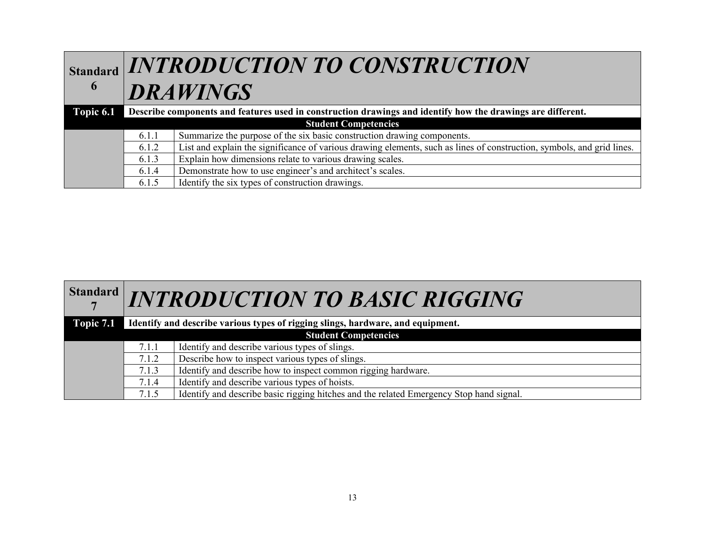| <b>Standard</b> |                                                                                                             | <i><b>INTRODUCTION TO CONSTRUCTION</b></i>                                                                             |
|-----------------|-------------------------------------------------------------------------------------------------------------|------------------------------------------------------------------------------------------------------------------------|
| 6               |                                                                                                             | <b>DRAWINGS</b>                                                                                                        |
| Topic 6.1       | Describe components and features used in construction drawings and identify how the drawings are different. |                                                                                                                        |
|                 |                                                                                                             | <b>Student Competencies</b>                                                                                            |
|                 | 6.1.1                                                                                                       | Summarize the purpose of the six basic construction drawing components.                                                |
|                 | 6.1.2                                                                                                       | List and explain the significance of various drawing elements, such as lines of construction, symbols, and grid lines. |
|                 | 6.1.3                                                                                                       | Explain how dimensions relate to various drawing scales.                                                               |
|                 | 6.1.4                                                                                                       | Demonstrate how to use engineer's and architect's scales.                                                              |
|                 | 6.1.5                                                                                                       | Identify the six types of construction drawings.                                                                       |

|           |                                                                                 | Standard <b>INTRODUCTION TO BASIC RIGGING</b>                                           |
|-----------|---------------------------------------------------------------------------------|-----------------------------------------------------------------------------------------|
| Topic 7.1 | Identify and describe various types of rigging slings, hardware, and equipment. |                                                                                         |
|           |                                                                                 | <b>Student Competencies</b>                                                             |
|           | 7.1.1                                                                           | Identify and describe various types of slings.                                          |
|           | 7.1.2                                                                           | Describe how to inspect various types of slings.                                        |
|           | 7.1.3                                                                           | Identify and describe how to inspect common rigging hardware.                           |
|           | 7.1.4                                                                           | Identify and describe various types of hoists.                                          |
|           | 7.1.5                                                                           | Identify and describe basic rigging hitches and the related Emergency Stop hand signal. |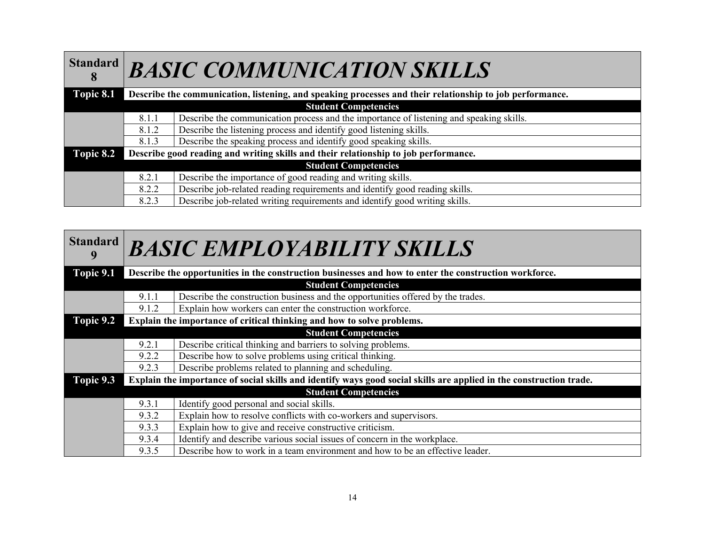|           |       | Standard <b>BASIC COMMUNICATION SKILLS</b>                                                               |
|-----------|-------|----------------------------------------------------------------------------------------------------------|
| Topic 8.1 |       | Describe the communication, listening, and speaking processes and their relationship to job performance. |
|           |       | <b>Student Competencies</b>                                                                              |
|           | 8.1.1 | Describe the communication process and the importance of listening and speaking skills.                  |
|           | 8.1.2 | Describe the listening process and identify good listening skills.                                       |
|           | 8.1.3 | Describe the speaking process and identify good speaking skills.                                         |
| Topic 8.2 |       | Describe good reading and writing skills and their relationship to job performance.                      |
|           |       | <b>Student Competencies</b>                                                                              |
|           | 8.2.1 | Describe the importance of good reading and writing skills.                                              |
|           | 8.2.2 | Describe job-related reading requirements and identify good reading skills.                              |
|           | 8.2.3 | Describe job-related writing requirements and identify good writing skills.                              |

| Standard<br>9 |       | <b>BASIC EMPLOYABILITY SKILLS</b>                                                                                   |  |  |
|---------------|-------|---------------------------------------------------------------------------------------------------------------------|--|--|
| Topic 9.1     |       | Describe the opportunities in the construction businesses and how to enter the construction workforce.              |  |  |
|               |       | <b>Student Competencies</b>                                                                                         |  |  |
|               | 9.1.1 | Describe the construction business and the opportunities offered by the trades.                                     |  |  |
|               | 9.1.2 | Explain how workers can enter the construction workforce.                                                           |  |  |
| Topic $9.2$   |       | Explain the importance of critical thinking and how to solve problems.                                              |  |  |
|               |       | <b>Student Competencies</b>                                                                                         |  |  |
|               | 9.2.1 | Describe critical thinking and barriers to solving problems.                                                        |  |  |
|               | 9.2.2 | Describe how to solve problems using critical thinking.                                                             |  |  |
|               | 9.2.3 | Describe problems related to planning and scheduling.                                                               |  |  |
| Topic 9.3     |       | Explain the importance of social skills and identify ways good social skills are applied in the construction trade. |  |  |
|               |       | <b>Student Competencies</b>                                                                                         |  |  |
|               | 9.3.1 | Identify good personal and social skills.                                                                           |  |  |
|               | 9.3.2 | Explain how to resolve conflicts with co-workers and supervisors.                                                   |  |  |
|               | 9.3.3 | Explain how to give and receive constructive criticism.                                                             |  |  |
|               | 9.3.4 | Identify and describe various social issues of concern in the workplace.                                            |  |  |
|               | 9.3.5 | Describe how to work in a team environment and how to be an effective leader.                                       |  |  |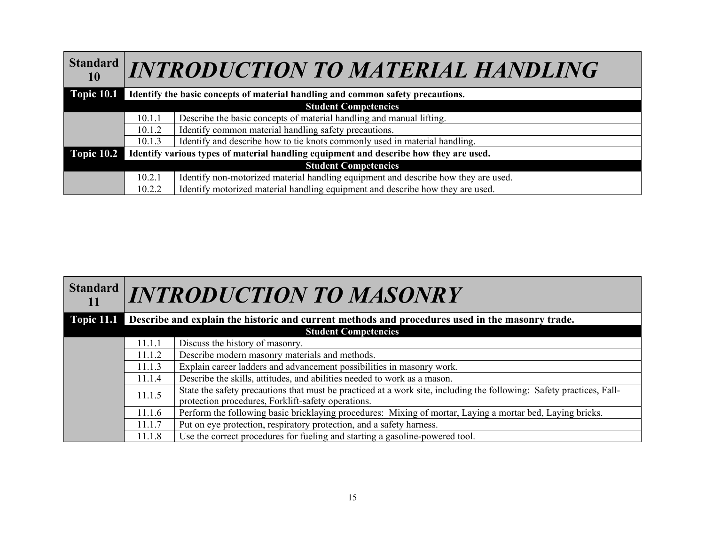|                   | Standard <b>INTRODUCTION TO MATERIAL HANDLING</b> |                                                                                       |  |  |
|-------------------|---------------------------------------------------|---------------------------------------------------------------------------------------|--|--|
| <b>Topic 10.1</b> |                                                   | Identify the basic concepts of material handling and common safety precautions.       |  |  |
|                   |                                                   | <b>Student Competencies</b>                                                           |  |  |
|                   | 10.1.1                                            | Describe the basic concepts of material handling and manual lifting.                  |  |  |
|                   | 10.1.2                                            | Identify common material handling safety precautions.                                 |  |  |
|                   | 10.1.3                                            | Identify and describe how to tie knots commonly used in material handling.            |  |  |
| Topic $10.2$      |                                                   | Identify various types of material handling equipment and describe how they are used. |  |  |
|                   |                                                   | <b>Student Competencies</b>                                                           |  |  |
|                   | 10.2.1                                            | Identify non-motorized material handling equipment and describe how they are used.    |  |  |
|                   | 10.2.2                                            | Identify motorized material handling equipment and describe how they are used.        |  |  |

|        | Standard <b>INTRODUCTION TO MASONRY</b>                                                                              |
|--------|----------------------------------------------------------------------------------------------------------------------|
|        | Topic 11.1 Describe and explain the historic and current methods and procedures used in the masonry trade.           |
|        | <b>Student Competencies</b>                                                                                          |
| 11.1.1 | Discuss the history of masonry.                                                                                      |
| 11.1.2 | Describe modern masonry materials and methods.                                                                       |
| 11.1.3 | Explain career ladders and advancement possibilities in masonry work.                                                |
| 11.1.4 | Describe the skills, attitudes, and abilities needed to work as a mason.                                             |
| 11.1.5 | State the safety precautions that must be practiced at a work site, including the following: Safety practices, Fall- |
|        | protection procedures, Forklift-safety operations.                                                                   |
| 11.1.6 | Perform the following basic bricklaying procedures: Mixing of mortar, Laying a mortar bed, Laying bricks.            |
| 11.1.7 | Put on eye protection, respiratory protection, and a safety harness.                                                 |
| 11.1.8 | Use the correct procedures for fueling and starting a gasoline-powered tool.                                         |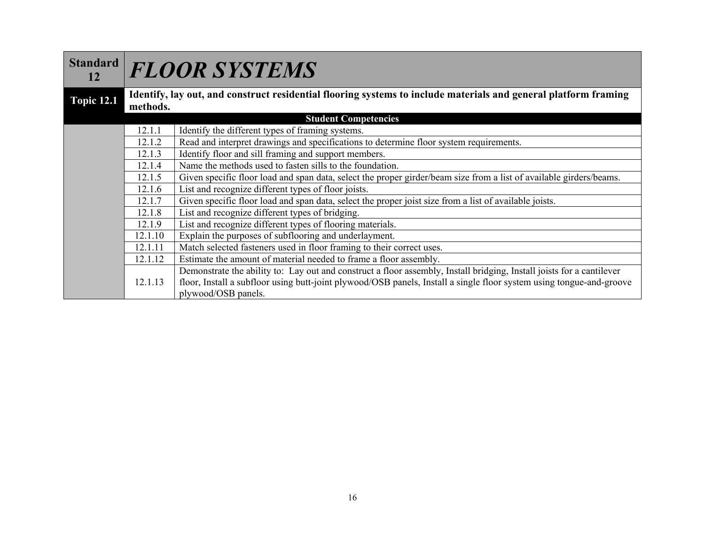| Standard<br>12    |          | <b>FLOOR SYSTEMS</b>                                                                                                  |  |  |
|-------------------|----------|-----------------------------------------------------------------------------------------------------------------------|--|--|
| <b>Topic 12.1</b> | methods. | Identify, lay out, and construct residential flooring systems to include materials and general platform framing       |  |  |
|                   |          | <b>Student Competencies</b>                                                                                           |  |  |
|                   | 12.1.1   | Identify the different types of framing systems.                                                                      |  |  |
|                   | 12.1.2   | Read and interpret drawings and specifications to determine floor system requirements.                                |  |  |
|                   | 12.1.3   | Identify floor and sill framing and support members.                                                                  |  |  |
|                   | 12.1.4   | Name the methods used to fasten sills to the foundation.                                                              |  |  |
|                   | 12.1.5   | Given specific floor load and span data, select the proper girder/beam size from a list of available girders/beams.   |  |  |
|                   | 12.1.6   | List and recognize different types of floor joists.                                                                   |  |  |
|                   | 12.1.7   | Given specific floor load and span data, select the proper joist size from a list of available joists.                |  |  |
|                   | 12.1.8   | List and recognize different types of bridging.                                                                       |  |  |
|                   | 12.1.9   | List and recognize different types of flooring materials.                                                             |  |  |
|                   | 12.1.10  | Explain the purposes of subflooring and underlayment.                                                                 |  |  |
|                   | 12.1.11  | Match selected fasteners used in floor framing to their correct uses.                                                 |  |  |
|                   | 12.1.12  | Estimate the amount of material needed to frame a floor assembly.                                                     |  |  |
|                   |          | Demonstrate the ability to: Lay out and construct a floor assembly, Install bridging, Install joists for a cantilever |  |  |
|                   | 12.1.13  | floor, Install a subfloor using butt-joint plywood/OSB panels, Install a single floor system using tongue-and-groove  |  |  |
|                   |          | plywood/OSB panels.                                                                                                   |  |  |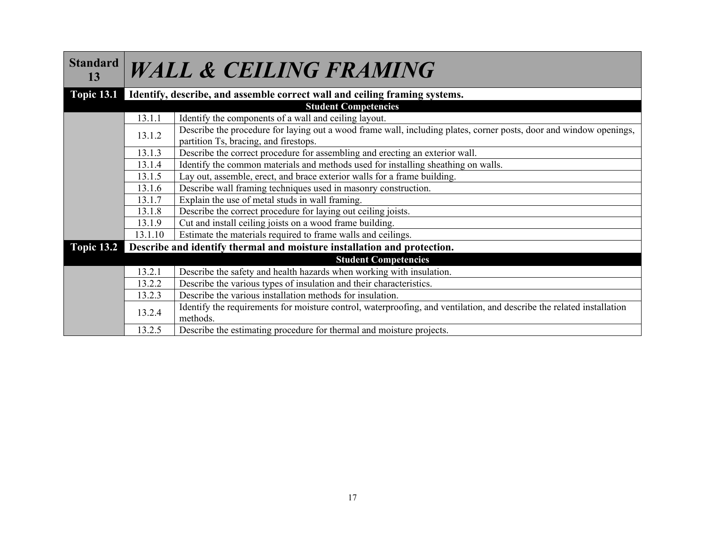| <b>Standard</b><br>13 |         | <b>WALL &amp; CEILING FRAMING</b>                                                                                     |
|-----------------------|---------|-----------------------------------------------------------------------------------------------------------------------|
|                       |         | <b>Topic 13.1</b> Identify, describe, and assemble correct wall and ceiling framing systems.                          |
|                       |         | <b>Student Competencies</b>                                                                                           |
|                       | 13.1.1  | Identify the components of a wall and ceiling layout.                                                                 |
|                       | 13.1.2  | Describe the procedure for laying out a wood frame wall, including plates, corner posts, door and window openings,    |
|                       |         | partition Ts, bracing, and firestops.                                                                                 |
|                       | 13.1.3  | Describe the correct procedure for assembling and erecting an exterior wall.                                          |
|                       | 13.1.4  | Identify the common materials and methods used for installing sheathing on walls.                                     |
|                       | 13.1.5  | Lay out, assemble, erect, and brace exterior walls for a frame building.                                              |
|                       | 13.1.6  | Describe wall framing techniques used in masonry construction.                                                        |
|                       | 13.1.7  | Explain the use of metal studs in wall framing.                                                                       |
|                       | 13.1.8  | Describe the correct procedure for laying out ceiling joists.                                                         |
|                       | 13.1.9  | Cut and install ceiling joists on a wood frame building.                                                              |
|                       | 13.1.10 | Estimate the materials required to frame walls and ceilings.                                                          |
| <b>Topic 13.2</b>     |         | Describe and identify thermal and moisture installation and protection.                                               |
|                       |         | <b>Student Competencies</b>                                                                                           |
|                       | 13.2.1  | Describe the safety and health hazards when working with insulation.                                                  |
|                       | 13.2.2  | Describe the various types of insulation and their characteristics.                                                   |
|                       | 13.2.3  | Describe the various installation methods for insulation.                                                             |
|                       |         | Identify the requirements for moisture control, waterproofing, and ventilation, and describe the related installation |
|                       | 13.2.4  | methods.                                                                                                              |
|                       | 13.2.5  | Describe the estimating procedure for thermal and moisture projects.                                                  |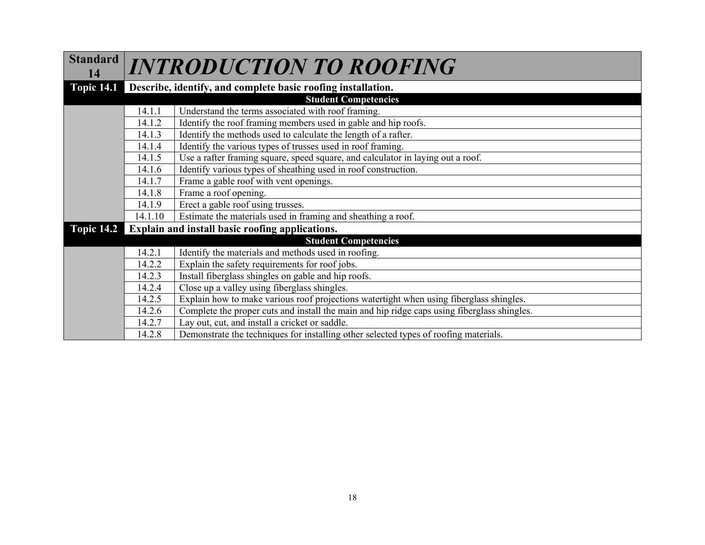| <b>Standard</b><br>14 |         | <b>INTRODUCTION TO ROOFING</b>                                                              |
|-----------------------|---------|---------------------------------------------------------------------------------------------|
| <b>Topic 14.1</b>     |         | Describe, identify, and complete basic roofing installation.                                |
|                       |         | <b>Student Competencies</b>                                                                 |
|                       | 14.1.1  | Understand the terms associated with roof framing.                                          |
|                       | 14.1.2  | Identify the roof framing members used in gable and hip roofs.                              |
|                       | 14.1.3  | Identify the methods used to calculate the length of a rafter.                              |
|                       | 14.1.4  | Identify the various types of trusses used in roof framing.                                 |
|                       | 14.1.5  | Use a rafter framing square, speed square, and calculator in laying out a roof.             |
|                       | 14.1.6  | Identify various types of sheathing used in roof construction.                              |
|                       | 14.1.7  | Frame a gable roof with vent openings.                                                      |
|                       | 14.1.8  | Frame a roof opening.                                                                       |
|                       | 14.1.9  | Erect a gable roof using trusses.                                                           |
|                       | 14.1.10 | Estimate the materials used in framing and sheathing a roof.                                |
| <b>Topic 14.2</b>     |         | Explain and install basic roofing applications.                                             |
|                       |         | <b>Student Competencies</b>                                                                 |
|                       | 14.2.1  | Identify the materials and methods used in roofing.                                         |
|                       | 14.2.2  | Explain the safety requirements for roof jobs.                                              |
|                       | 14.2.3  | Install fiberglass shingles on gable and hip roofs.                                         |
|                       | 14.2.4  | Close up a valley using fiberglass shingles.                                                |
|                       | 14.2.5  | Explain how to make various roof projections watertight when using fiberglass shingles.     |
|                       | 14.2.6  | Complete the proper cuts and install the main and hip ridge caps using fiberglass shingles. |
|                       | 14.2.7  | Lay out, cut, and install a cricket or saddle.                                              |
|                       | 14.2.8  | Demonstrate the techniques for installing other selected types of roofing materials.        |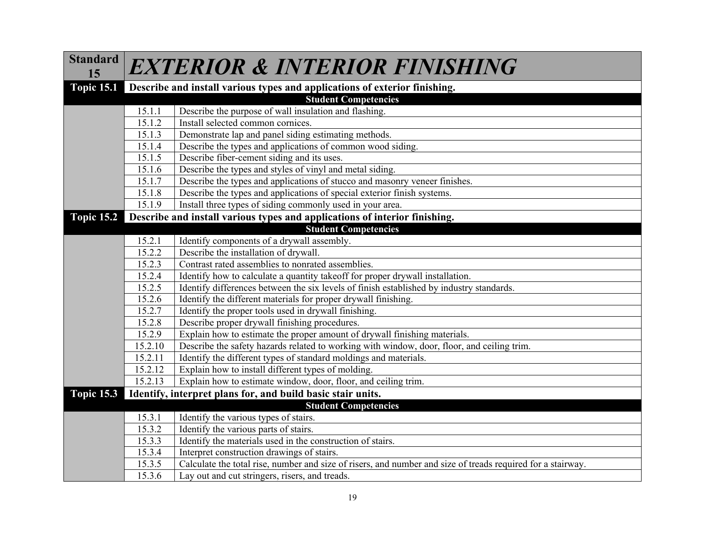| <b>Standard</b><br>15 |         | <b>EXTERIOR &amp; INTERIOR FINISHING</b>                                                                    |
|-----------------------|---------|-------------------------------------------------------------------------------------------------------------|
| <b>Topic 15.1</b>     |         | Describe and install various types and applications of exterior finishing.                                  |
|                       |         | <b>Student Competencies</b>                                                                                 |
|                       | 15.1.1  | Describe the purpose of wall insulation and flashing.                                                       |
|                       | 15.1.2  | Install selected common cornices.                                                                           |
|                       | 15.1.3  | Demonstrate lap and panel siding estimating methods.                                                        |
|                       | 15.1.4  | Describe the types and applications of common wood siding.                                                  |
|                       | 15.1.5  | Describe fiber-cement siding and its uses.                                                                  |
|                       | 15.1.6  | Describe the types and styles of vinyl and metal siding.                                                    |
|                       | 15.1.7  | Describe the types and applications of stucco and masonry veneer finishes.                                  |
|                       | 15.1.8  | Describe the types and applications of special exterior finish systems.                                     |
|                       | 15.1.9  | Install three types of siding commonly used in your area.                                                   |
| <b>Topic 15.2</b>     |         | Describe and install various types and applications of interior finishing.                                  |
|                       |         | <b>Student Competencies</b>                                                                                 |
|                       | 15.2.1  | Identify components of a drywall assembly.                                                                  |
|                       | 15.2.2  | Describe the installation of drywall.                                                                       |
|                       | 15.2.3  | Contrast rated assemblies to nonrated assemblies.                                                           |
|                       | 15.2.4  | Identify how to calculate a quantity takeoff for proper drywall installation.                               |
|                       | 15.2.5  | Identify differences between the six levels of finish established by industry standards.                    |
|                       | 15.2.6  | Identify the different materials for proper drywall finishing.                                              |
|                       | 15.2.7  | Identify the proper tools used in drywall finishing.                                                        |
|                       | 15.2.8  | Describe proper drywall finishing procedures.                                                               |
|                       | 15.2.9  | Explain how to estimate the proper amount of drywall finishing materials.                                   |
|                       | 15.2.10 | Describe the safety hazards related to working with window, door, floor, and ceiling trim.                  |
|                       | 15.2.11 | Identify the different types of standard moldings and materials.                                            |
|                       | 15.2.12 | Explain how to install different types of molding.                                                          |
|                       | 15.2.13 | Explain how to estimate window, door, floor, and ceiling trim.                                              |
| <b>Topic 15.3</b>     |         | Identify, interpret plans for, and build basic stair units.                                                 |
|                       |         | <b>Student Competencies</b>                                                                                 |
|                       | 15.3.1  | Identify the various types of stairs.                                                                       |
|                       | 15.3.2  | Identify the various parts of stairs.                                                                       |
|                       | 15.3.3  | Identify the materials used in the construction of stairs.                                                  |
|                       | 15.3.4  | Interpret construction drawings of stairs.                                                                  |
|                       | 15.3.5  | Calculate the total rise, number and size of risers, and number and size of treads required for a stairway. |
|                       | 15.3.6  | Lay out and cut stringers, risers, and treads.                                                              |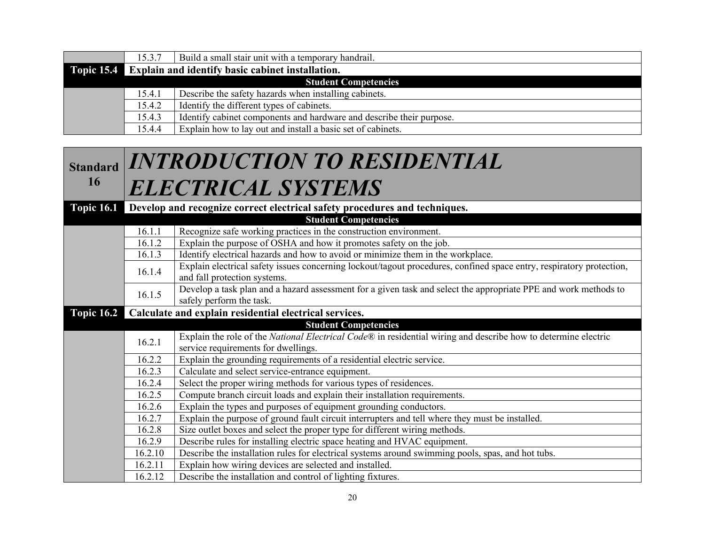| 15.3.7                                                             | Build a small stair unit with a temporary handrail.                  |
|--------------------------------------------------------------------|----------------------------------------------------------------------|
| <b>Topic 15.4</b> Explain and identify basic cabinet installation. |                                                                      |
|                                                                    | <b>Student Competencies</b>                                          |
| 15.4.1                                                             | Describe the safety hazards when installing cabinets.                |
| 15.4.2                                                             | Identify the different types of cabinets.                            |
| 15.4.3                                                             | Identify cabinet components and hardware and describe their purpose. |
| 15.4.4                                                             | Explain how to lay out and install a basic set of cabinets.          |

|                   |                                                        | Standard <b>INTRODUCTION TO RESIDENTIAL</b>                                                                          |  |
|-------------------|--------------------------------------------------------|----------------------------------------------------------------------------------------------------------------------|--|
| <b>16</b>         |                                                        | <b>ELECTRICAL SYSTEMS</b>                                                                                            |  |
| <b>Topic 16.1</b> |                                                        | Develop and recognize correct electrical safety procedures and techniques.                                           |  |
|                   |                                                        | <b>Student Competencies</b>                                                                                          |  |
|                   | 16.1.1                                                 | Recognize safe working practices in the construction environment.                                                    |  |
|                   | 16.1.2                                                 | Explain the purpose of OSHA and how it promotes safety on the job.                                                   |  |
|                   | 16.1.3                                                 | Identify electrical hazards and how to avoid or minimize them in the workplace.                                      |  |
|                   | 16.1.4                                                 | Explain electrical safety issues concerning lockout/tagout procedures, confined space entry, respiratory protection, |  |
|                   |                                                        | and fall protection systems.                                                                                         |  |
|                   | 16.1.5                                                 | Develop a task plan and a hazard assessment for a given task and select the appropriate PPE and work methods to      |  |
|                   |                                                        | safely perform the task.                                                                                             |  |
| <b>Topic 16.2</b> | Calculate and explain residential electrical services. |                                                                                                                      |  |
|                   |                                                        | <b>Student Competencies</b>                                                                                          |  |
|                   | 16.2.1                                                 | Explain the role of the National Electrical Code® in residential wiring and describe how to determine electric       |  |
|                   |                                                        | service requirements for dwellings.                                                                                  |  |
|                   | 16.2.2                                                 | Explain the grounding requirements of a residential electric service.                                                |  |
|                   | 16.2.3                                                 | Calculate and select service-entrance equipment.                                                                     |  |
|                   | 16.2.4                                                 | Select the proper wiring methods for various types of residences.                                                    |  |
|                   | 16.2.5                                                 | Compute branch circuit loads and explain their installation requirements.                                            |  |
|                   | 16.2.6                                                 | Explain the types and purposes of equipment grounding conductors.                                                    |  |
|                   | 16.2.7                                                 | Explain the purpose of ground fault circuit interrupters and tell where they must be installed.                      |  |
|                   | 16.2.8                                                 | Size outlet boxes and select the proper type for different wiring methods.                                           |  |
|                   | 16.2.9                                                 | Describe rules for installing electric space heating and HVAC equipment.                                             |  |
|                   | 16.2.10                                                | Describe the installation rules for electrical systems around swimming pools, spas, and hot tubs.                    |  |
|                   | 16.2.11                                                | Explain how wiring devices are selected and installed.                                                               |  |
|                   | 16.2.12                                                | Describe the installation and control of lighting fixtures.                                                          |  |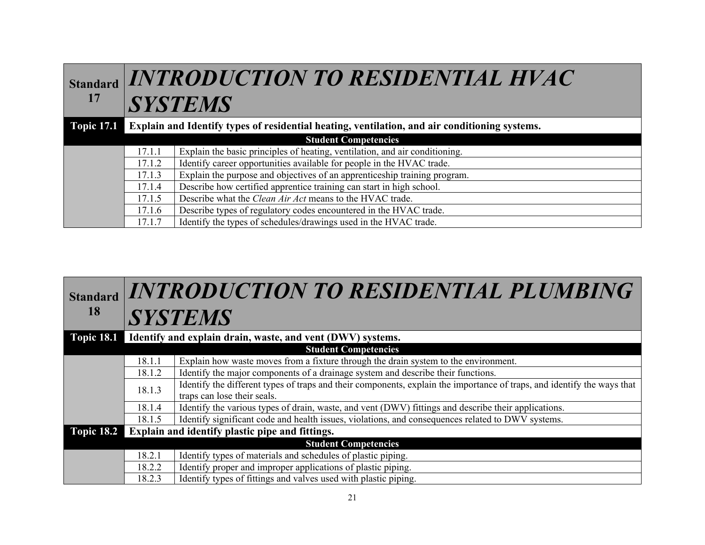| <b>Standard</b><br>17 |                                                                                               | <i><b>INTRODUCTION TO RESIDENTIAL HVAC</b></i><br><b>SYSTEMS</b>            |
|-----------------------|-----------------------------------------------------------------------------------------------|-----------------------------------------------------------------------------|
| <b>Topic 17.1</b>     | Explain and Identify types of residential heating, ventilation, and air conditioning systems. |                                                                             |
|                       |                                                                                               | <b>Student Competencies</b>                                                 |
|                       | 17.1.1                                                                                        | Explain the basic principles of heating, ventilation, and air conditioning. |
|                       | 17.1.2                                                                                        | Identify career opportunities available for people in the HVAC trade.       |
|                       | 17.1.3                                                                                        | Explain the purpose and objectives of an apprenticeship training program.   |
|                       | 17.1.4                                                                                        | Describe how certified apprentice training can start in high school.        |
|                       | 17.1.5                                                                                        | Describe what the <i>Clean Air Act</i> means to the HVAC trade.             |
|                       | 17.1.6                                                                                        | Describe types of regulatory codes encountered in the HVAC trade.           |
|                       | 17.1.7                                                                                        | Identify the types of schedules/drawings used in the HVAC trade.            |

|    | Standard <b>INTRODUCTION TO RESIDENTIAL PLUMBING</b> |                                                                                                                         |  |
|----|------------------------------------------------------|-------------------------------------------------------------------------------------------------------------------------|--|
| 18 |                                                      | <b>SYSTEMS</b>                                                                                                          |  |
|    |                                                      | <b>Topic 18.1</b> Identify and explain drain, waste, and vent (DWV) systems.                                            |  |
|    |                                                      | <b>Student Competencies</b>                                                                                             |  |
|    | 18.1.1                                               | Explain how waste moves from a fixture through the drain system to the environment.                                     |  |
|    | 18.1.2                                               | Identify the major components of a drainage system and describe their functions.                                        |  |
|    | 18.1.3                                               | Identify the different types of traps and their components, explain the importance of traps, and identify the ways that |  |
|    |                                                      | traps can lose their seals.                                                                                             |  |
|    | 18.1.4                                               | Identify the various types of drain, waste, and vent (DWV) fittings and describe their applications.                    |  |
|    | 18.1.5                                               | Identify significant code and health issues, violations, and consequences related to DWV systems.                       |  |
|    |                                                      | <b>Topic 18.2</b> Explain and identify plastic pipe and fittings.                                                       |  |
|    |                                                      | <b>Student Competencies</b>                                                                                             |  |
|    | 18.2.1                                               | Identify types of materials and schedules of plastic piping.                                                            |  |
|    | 18.2.2                                               | Identify proper and improper applications of plastic piping.                                                            |  |
|    | 18.2.3                                               | Identify types of fittings and valves used with plastic piping.                                                         |  |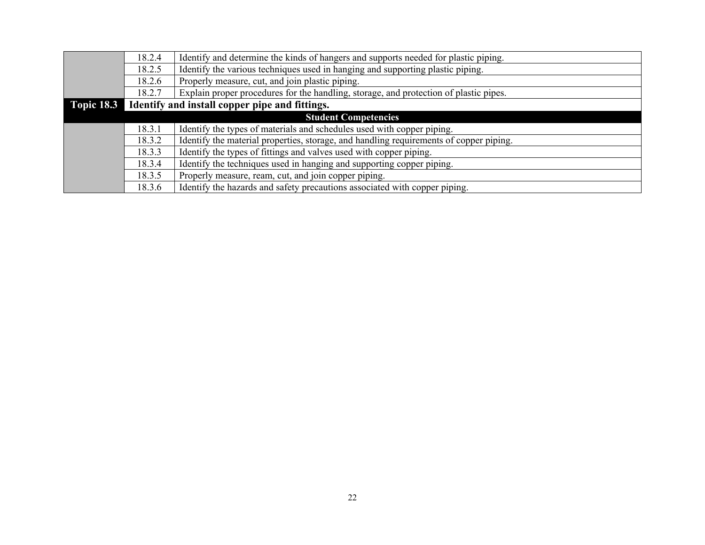| 18.2.4 | Identify and determine the kinds of hangers and supports needed for plastic piping.    |
|--------|----------------------------------------------------------------------------------------|
| 18.2.5 | Identify the various techniques used in hanging and supporting plastic piping.         |
| 18.2.6 | Properly measure, cut, and join plastic piping.                                        |
| 18.2.7 | Explain proper procedures for the handling, storage, and protection of plastic pipes.  |
|        | <b>Topic 18.3</b> Identify and install copper pipe and fittings.                       |
|        | <b>Student Competencies</b>                                                            |
| 18.3.1 | Identify the types of materials and schedules used with copper piping.                 |
| 18.3.2 | Identify the material properties, storage, and handling requirements of copper piping. |
| 18.3.3 | Identify the types of fittings and valves used with copper piping.                     |
| 18.3.4 | Identify the techniques used in hanging and supporting copper piping.                  |
| 18.3.5 | Properly measure, ream, cut, and join copper piping.                                   |
| 18.3.6 | Identify the hazards and safety precautions associated with copper piping.             |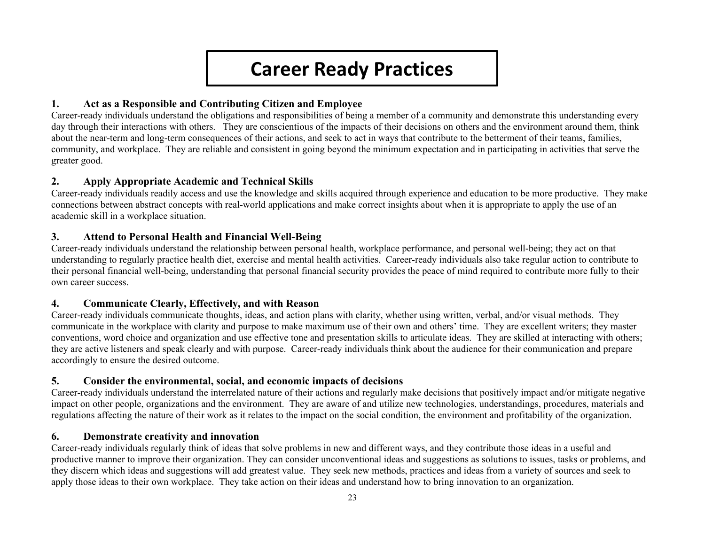## **Career Ready Practices**

#### **1. Act as a Responsible and Contributing Citizen and Employee**

Career-ready individuals understand the obligations and responsibilities of being a member of a community and demonstrate this understanding every day through their interactions with others. They are conscientious of the impacts of their decisions on others and the environment around them, think about the near-term and long-term consequences of their actions, and seek to act in ways that contribute to the betterment of their teams, families, community, and workplace. They are reliable and consistent in going beyond the minimum expectation and in participating in activities that serve the greater good.

#### **2. Apply Appropriate Academic and Technical Skills**

Career-ready individuals readily access and use the knowledge and skills acquired through experience and education to be more productive. They make connections between abstract concepts with real-world applications and make correct insights about when it is appropriate to apply the use of an academic skill in a workplace situation.

#### **3. Attend to Personal Health and Financial Well-Being**

Career-ready individuals understand the relationship between personal health, workplace performance, and personal well-being; they act on that understanding to regularly practice health diet, exercise and mental health activities. Career-ready individuals also take regular action to contribute to their personal financial well-being, understanding that personal financial security provides the peace of mind required to contribute more fully to their own career success.

#### **4. Communicate Clearly, Effectively, and with Reason**

Career-ready individuals communicate thoughts, ideas, and action plans with clarity, whether using written, verbal, and/or visual methods. They communicate in the workplace with clarity and purpose to make maximum use of their own and others' time. They are excellent writers; they master conventions, word choice and organization and use effective tone and presentation skills to articulate ideas. They are skilled at interacting with others; they are active listeners and speak clearly and with purpose. Career-ready individuals think about the audience for their communication and prepare accordingly to ensure the desired outcome.

#### **5. Consider the environmental, social, and economic impacts of decisions**

Career-ready individuals understand the interrelated nature of their actions and regularly make decisions that positively impact and/or mitigate negative impact on other people, organizations and the environment. They are aware of and utilize new technologies, understandings, procedures, materials and regulations affecting the nature of their work as it relates to the impact on the social condition, the environment and profitability of the organization.

#### **6. Demonstrate creativity and innovation**

Career-ready individuals regularly think of ideas that solve problems in new and different ways, and they contribute those ideas in a useful and productive manner to improve their organization. They can consider unconventional ideas and suggestions as solutions to issues, tasks or problems, and they discern which ideas and suggestions will add greatest value. They seek new methods, practices and ideas from a variety of sources and seek to apply those ideas to their own workplace. They take action on their ideas and understand how to bring innovation to an organization.